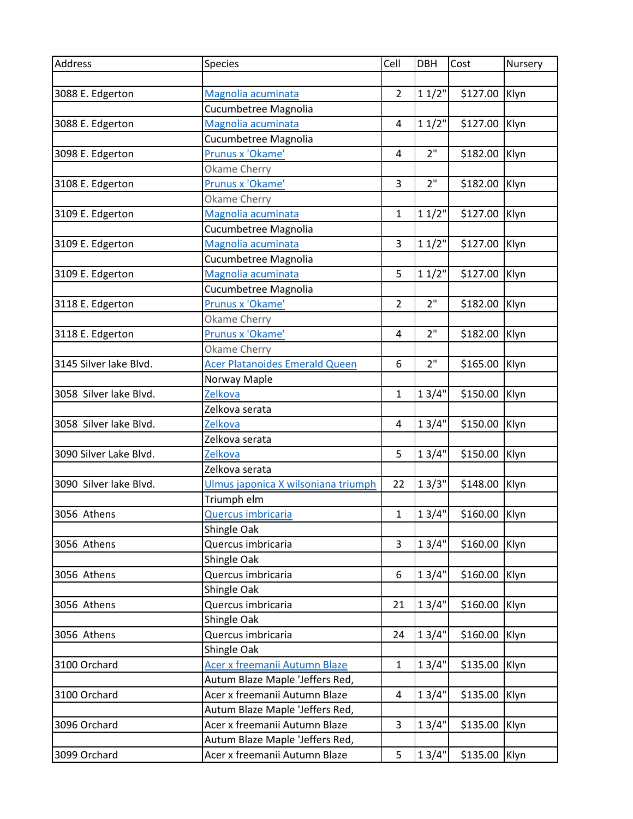| Address                | Species                             | Cell           | <b>DBH</b>      | Cost          | Nursery |
|------------------------|-------------------------------------|----------------|-----------------|---------------|---------|
|                        |                                     |                |                 |               |         |
| 3088 E. Edgerton       | Magnolia acuminata                  | 2              | 11/2"           | \$127.00      | Klyn    |
|                        | Cucumbetree Magnolia                |                |                 |               |         |
| 3088 E. Edgerton       | Magnolia acuminata                  | 4              | 11/2"           | \$127.00      | Klyn    |
|                        | Cucumbetree Magnolia                |                |                 |               |         |
| 3098 E. Edgerton       | Prunus x 'Okame'                    | $\overline{4}$ | 2"              | \$182.00      | Klyn    |
|                        | Okame Cherry                        |                |                 |               |         |
| 3108 E. Edgerton       | Prunus x 'Okame'                    | 3              | 2"              | \$182.00      | Klyn    |
|                        | Okame Cherry                        |                |                 |               |         |
| 3109 E. Edgerton       | Magnolia acuminata                  | $\mathbf{1}$   | 11/2"           | \$127.00      | Klyn    |
|                        | Cucumbetree Magnolia                |                |                 |               |         |
| 3109 E. Edgerton       | Magnolia acuminata                  | 3              | 11/2"           | \$127.00      | Klyn    |
|                        | Cucumbetree Magnolia                |                |                 |               |         |
| 3109 E. Edgerton       | Magnolia acuminata                  | 5              | 11/2"           | \$127.00      | Klyn    |
|                        | Cucumbetree Magnolia                |                |                 |               |         |
| 3118 E. Edgerton       | Prunus x 'Okame'                    | $\overline{2}$ | 2"              | \$182.00      | Klyn    |
|                        | Okame Cherry                        |                |                 |               |         |
| 3118 E. Edgerton       | Prunus x 'Okame'                    | 4              | 2"              | \$182.00      | Klyn    |
|                        | Okame Cherry                        |                |                 |               |         |
| 3145 Silver lake Blvd. | Acer Platanoides Emerald Queen      | 6              | 2 <sup>''</sup> | \$165.00      | Klyn    |
|                        | Norway Maple                        |                |                 |               |         |
| 3058 Silver lake Blvd. | Zelkova                             | $\mathbf{1}$   | 13/4"           | \$150.00      | Klyn    |
|                        | Zelkova serata                      |                |                 |               |         |
| 3058 Silver lake Blvd. | <b>Zelkova</b>                      | $\overline{4}$ | 13/4"           | \$150.00      | Klyn    |
|                        | Zelkova serata                      |                |                 |               |         |
| 3090 Silver Lake Blvd. | Zelkova                             | 5              | 13/4"           | \$150.00      | Klyn    |
|                        | Zelkova serata                      |                |                 |               |         |
| 3090 Silver lake Blvd. | Ulmus japonica X wilsoniana triumph | 22             | 13/3"           | \$148.00      | Klyn    |
|                        | Triumph elm                         |                |                 |               |         |
| 3056 Athens            | Quercus imbricaria                  | $\mathbf{1}$   | 13/4"           | \$160.00 Klyn |         |
|                        | Shingle Oak                         |                |                 |               |         |
| 3056 Athens            | Quercus imbricaria                  | 3              | 13/4"           | \$160.00      | Klyn    |
|                        | Shingle Oak                         |                |                 |               |         |
| 3056 Athens            | Quercus imbricaria                  | 6              | 13/4"           | \$160.00      | Klyn    |
|                        | Shingle Oak                         |                |                 |               |         |
| 3056 Athens            | Quercus imbricaria                  | 21             | 13/4"           | \$160.00      | Klyn    |
|                        | Shingle Oak                         |                |                 |               |         |
| 3056 Athens            | Quercus imbricaria                  | 24             | 13/4"           | \$160.00      | Klyn    |
|                        | Shingle Oak                         |                |                 |               |         |
| 3100 Orchard           | Acer x freemanii Autumn Blaze       | 1              | 13/4"           | \$135.00      | Klyn    |
|                        | Autum Blaze Maple 'Jeffers Red,     |                |                 |               |         |
| 3100 Orchard           | Acer x freemanii Autumn Blaze       | 4              | 13/4"           | \$135.00      | Klyn    |
|                        | Autum Blaze Maple 'Jeffers Red,     |                |                 |               |         |
| 3096 Orchard           | Acer x freemanii Autumn Blaze       | 3              | 13/4"           | \$135.00      | Klyn    |
|                        | Autum Blaze Maple 'Jeffers Red,     |                |                 |               |         |
| 3099 Orchard           | Acer x freemanii Autumn Blaze       | 5              | 13/4"           | \$135.00 Klyn |         |